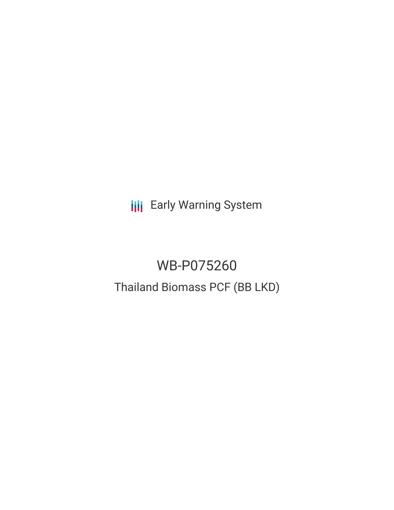**III** Early Warning System

# WB-P075260 Thailand Biomass PCF (BB LKD)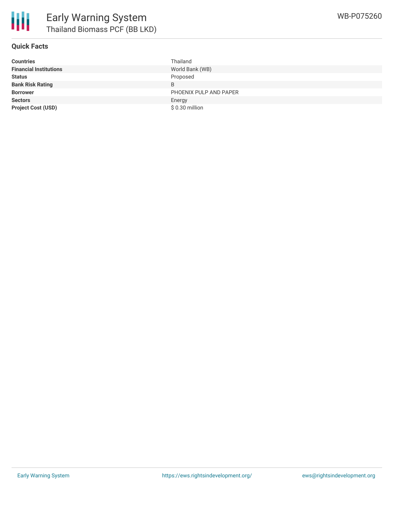

## **Quick Facts**

| <b>Countries</b>              | Thailand               |
|-------------------------------|------------------------|
| <b>Financial Institutions</b> | World Bank (WB)        |
| <b>Status</b>                 | Proposed               |
| <b>Bank Risk Rating</b>       | B                      |
| <b>Borrower</b>               | PHOENIX PULP AND PAPER |
| <b>Sectors</b>                | Energy                 |
| <b>Project Cost (USD)</b>     | $$0.30$ million        |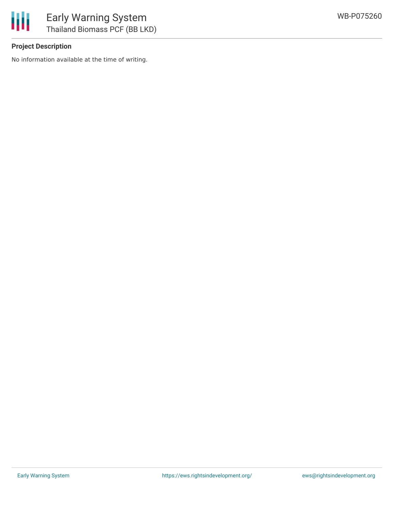

## **Project Description**

No information available at the time of writing.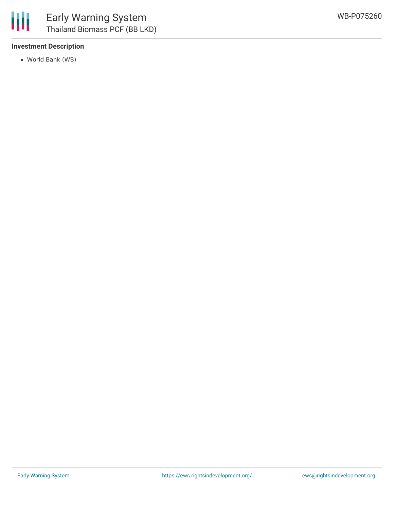## **Investment Description**

World Bank (WB)